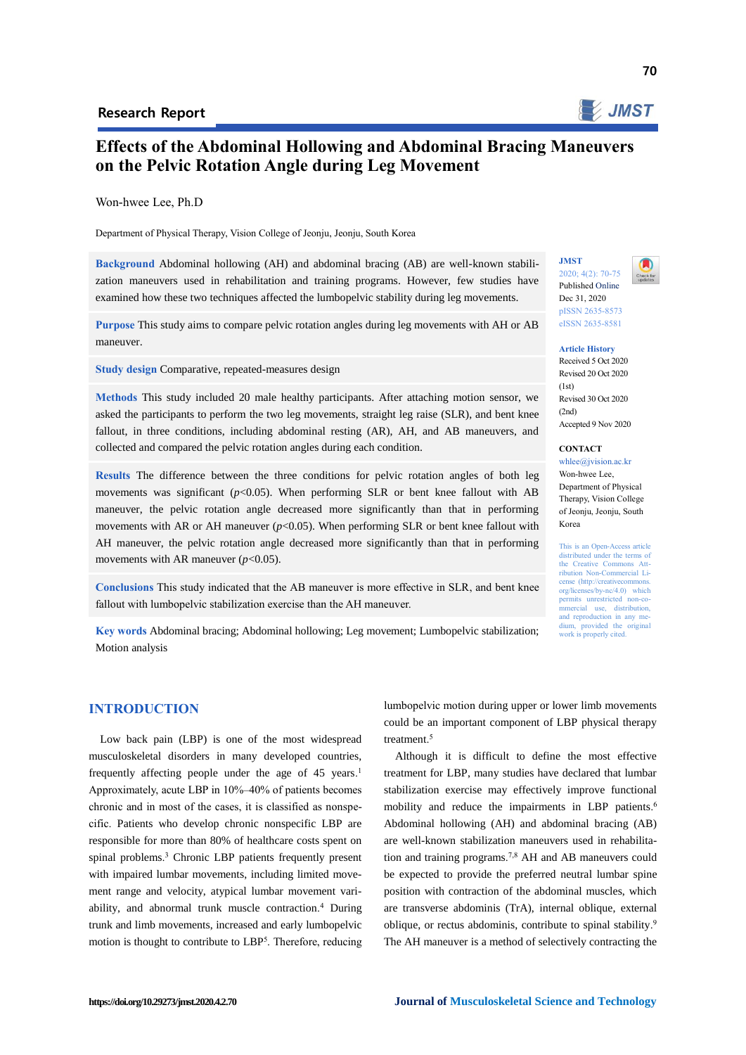

## **Effects of the Abdominal Hollowing and Abdominal Bracing Maneuvers on the Pelvic Rotation Angle during Leg Movement**

Won-hwee Lee, Ph.D

Department of Physical Therapy, Vision College of Jeonju, Jeonju, South Korea

**Background** Abdominal hollowing (AH) and abdominal bracing (AB) are well-known stabilization maneuvers used in rehabilitation and training programs. However, few studies have examined how these two techniques affected the lumbopelvic stability during leg movements.

**Purpose** This study aims to compare pelvic rotation angles during leg movements with AH or AB maneuver.

**Study design** Comparative, repeated-measures design

**Methods** This study included 20 male healthy participants. After attaching motion sensor, we asked the participants to perform the two leg movements, straight leg raise (SLR), and bent knee fallout, in three conditions, including abdominal resting (AR), AH, and AB maneuvers, and collected and compared the pelvic rotation angles during each condition.

**Results** The difference between the three conditions for pelvic rotation angles of both leg movements was significant  $(p<0.05)$ . When performing SLR or bent knee fallout with AB maneuver, the pelvic rotation angle decreased more significantly than that in performing movements with AR or AH maneuver  $(p<0.05)$ . When performing SLR or bent knee fallout with AH maneuver, the pelvic rotation angle decreased more significantly than that in performing movements with AR maneuver  $(p<0.05)$ .

**Conclusions** This study indicated that the AB maneuver is more effective in SLR, and bent knee fallout with lumbopelvic stabilization exercise than the AH maneuver.

**Key words** Abdominal bracing; Abdominal hollowing; Leg movement; Lumbopelvic stabilization; Motion analysis

## **INTRODUCTION**

Low back pain (LBP) is one of the most widespread musculoskeletal disorders in many developed countries, frequently affecting people under the age of 45 years.<sup>1</sup> Approximately, acute LBP in 10%–40% of patients becomes chronic and in most of the cases, it is classified as nonspecific. Patients who develop chronic nonspecific LBP are responsible for more than 80% of healthcare costs spent on spinal problems. <sup>3</sup> Chronic LBP patients frequently present with impaired lumbar movements, including limited movement range and velocity, atypical lumbar movement variability, and abnormal trunk muscle contraction. <sup>4</sup> During trunk and limb movements, increased and early lumbopelvic motion is thought to contribute to LBP<sup>5</sup>. Therefore, reducing

lumbopelvic motion during upper or lower limb movements could be an important component of LBP physical therapy treatment. 5

Although it is difficult to define the most effective treatment for LBP, many studies have declared that lumbar stabilization exercise may effectively improve functional mobility and reduce the impairments in LBP patients. 6 Abdominal hollowing (AH) and abdominal bracing (AB) are well-known stabilization maneuvers used in rehabilitation and training programs. 7,8 AH and AB maneuvers could be expected to provide the preferred neutral lumbar spine position with contraction of the abdominal muscles, which are transverse abdominis (TrA), internal oblique, external oblique, or rectus abdominis, contribute to spinal stability.<sup>9</sup> The AH maneuver is a method of selectively contracting the

# **JMST** 2020; 4(2): 70-75

Published Online Dec 31, 2020 pISSN 2635-8573 eISSN 2635-8581

#### **Article History**

Received 5 Oct 2020 Revised 20 Oct 2020  $(1st)$ Revised 30 Oct 2020  $(2nd)$ Accepted 9 Nov 2020

**CONTACT** 

whlee@jvision.ac.kr Won-hwee Lee, Department of Physical Therapy, Vision College of Jeonju, Jeonju, South Korea

This is an Open-Access article distributed under the terms of the Creative Commons Attribution Non-Commercial License (http://creativecommon org/licenses/by-nc/4.0) which permits unrestricted non-co-<br>mmercial use, distribution,  $use,$  distribution, and reproduction in any medium, provided the original work is properly cited.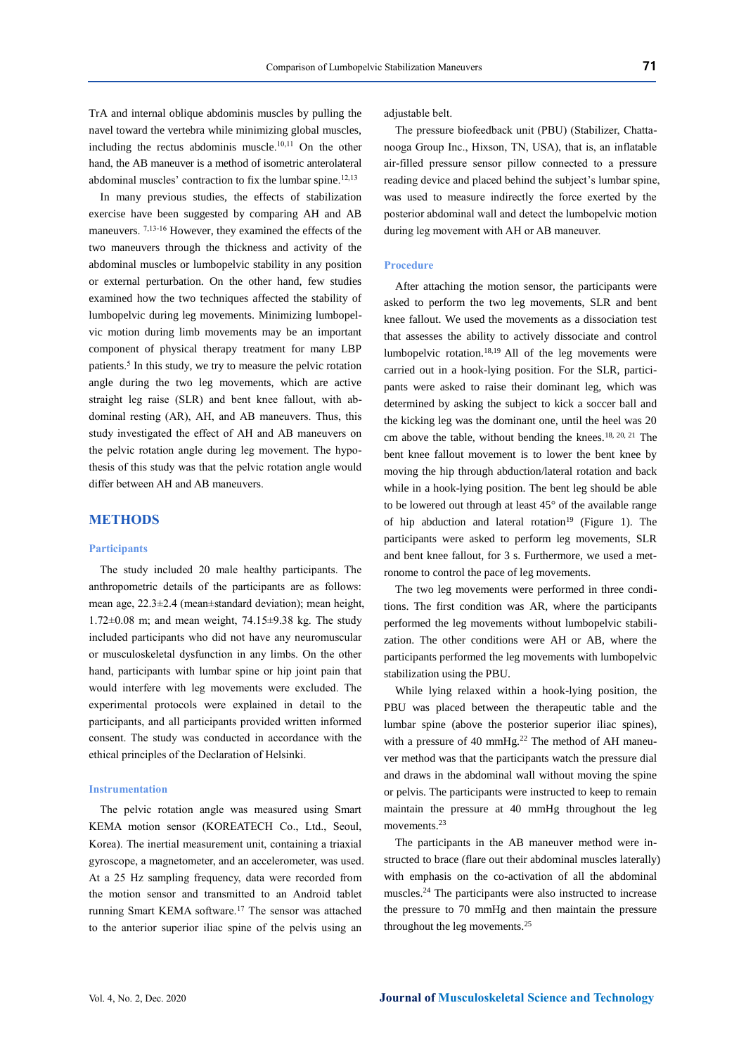TrA and internal oblique abdominis muscles by pulling the navel toward the vertebra while minimizing global muscles, including the rectus abdominis muscle. 10,11 On the other hand, the AB maneuver is a method of isometric anterolateral abdominal muscles' contraction to fix the lumbar spine.<sup>12,13</sup>

In many previous studies, the effects of stabilization exercise have been suggested by comparing AH and AB maneuvers. <sup>7,13-16</sup> However, they examined the effects of the two maneuvers through the thickness and activity of the abdominal muscles or lumbopelvic stability in any position or external perturbation. On the other hand, few studies examined how the two techniques affected the stability of lumbopelvic during leg movements. Minimizing lumbopelvic motion during limb movements may be an important component of physical therapy treatment for many LBP patients. 5 In this study, we try to measure the pelvic rotation angle during the two leg movements, which are active straight leg raise (SLR) and bent knee fallout, with abdominal resting (AR), AH, and AB maneuvers. Thus, this study investigated the effect of AH and AB maneuvers on the pelvic rotation angle during leg movement. The hypothesis of this study was that the pelvic rotation angle would differ between AH and AB maneuvers.

## **METHODS**

#### **Participants**

The study included 20 male healthy participants. The anthropometric details of the participants are as follows: mean age, 22.3±2.4 (mean±standard deviation); mean height, 1.72±0.08 m; and mean weight, 74.15±9.38 kg. The study included participants who did not have any neuromuscular or musculoskeletal dysfunction in any limbs. On the other hand, participants with lumbar spine or hip joint pain that would interfere with leg movements were excluded. The experimental protocols were explained in detail to the participants, and all participants provided written informed consent. The study was conducted in accordance with the ethical principles of the Declaration of Helsinki.

#### **Instrumentation**

The pelvic rotation angle was measured using Smart KEMA motion sensor (KOREATECH Co., Ltd., Seoul, Korea). The inertial measurement unit, containing a triaxial gyroscope, a magnetometer, and an accelerometer, was used. At a 25 Hz sampling frequency, data were recorded from the motion sensor and transmitted to an Android tablet running Smart KEMA software.<sup>17</sup> The sensor was attached to the anterior superior iliac spine of the pelvis using an

adjustable belt.

The pressure biofeedback unit (PBU) (Stabilizer, Chattanooga Group Inc., Hixson, TN, USA), that is, an inflatable air-filled pressure sensor pillow connected to a pressure reading device and placed behind the subject's lumbar spine, was used to measure indirectly the force exerted by the posterior abdominal wall and detect the lumbopelvic motion during leg movement with AH or AB maneuver.

#### **Procedure**

After attaching the motion sensor, the participants were asked to perform the two leg movements, SLR and bent knee fallout. We used the movements as a dissociation test that assesses the ability to actively dissociate and control lumbopelvic rotation.18,19 All of the leg movements were carried out in a hook-lying position. For the SLR, participants were asked to raise their dominant leg, which was determined by asking the subject to kick a soccer ball and the kicking leg was the dominant one, until the heel was 20 cm above the table, without bending the knees.18, 20, 21 The bent knee fallout movement is to lower the bent knee by moving the hip through abduction/lateral rotation and back while in a hook-lying position. The bent leg should be able to be lowered out through at least 45° of the available range of hip abduction and lateral rotation<sup>19</sup> (Figure 1). The participants were asked to perform leg movements, SLR and bent knee fallout, for 3 s. Furthermore, we used a metronome to control the pace of leg movements.

The two leg movements were performed in three conditions. The first condition was AR, where the participants performed the leg movements without lumbopelvic stabilization. The other conditions were AH or AB, where the participants performed the leg movements with lumbopelvic stabilization using the PBU.

While lying relaxed within a hook-lying position, the PBU was placed between the therapeutic table and the lumbar spine (above the posterior superior iliac spines), with a pressure of 40 mmHg.<sup>22</sup> The method of AH maneuver method was that the participants watch the pressure dial and draws in the abdominal wall without moving the spine or pelvis. The participants were instructed to keep to remain maintain the pressure at 40 mmHg throughout the leg movements.<sup>23</sup>

The participants in the AB maneuver method were instructed to brace (flare out their abdominal muscles laterally) with emphasis on the co-activation of all the abdominal muscles.<sup>24</sup> The participants were also instructed to increase the pressure to 70 mmHg and then maintain the pressure throughout the leg movements.25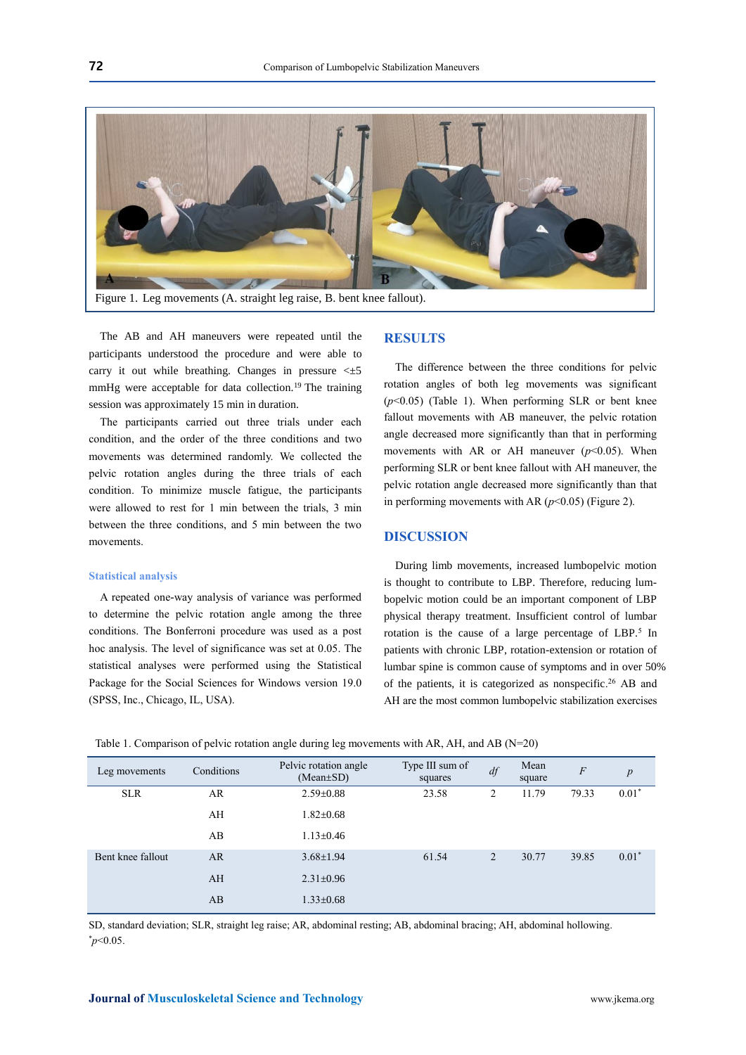

The AB and AH maneuvers were repeated until the participants understood the procedure and were able to carry it out while breathing. Changes in pressure  $\leq \pm 5$ mmHg were acceptable for data collection.<sup>19</sup> The training session was approximately 15 min in duration.

The participants carried out three trials under each condition, and the order of the three conditions and two movements was determined randomly. We collected the pelvic rotation angles during the three trials of each condition. To minimize muscle fatigue, the participants were allowed to rest for 1 min between the trials, 3 min between the three conditions, and 5 min between the two movements.

#### **Statistical analysis**

A repeated one-way analysis of variance was performed to determine the pelvic rotation angle among the three conditions. The Bonferroni procedure was used as a post hoc analysis. The level of significance was set at 0.05. The statistical analyses were performed using the Statistical Package for the Social Sciences for Windows version 19.0 (SPSS, Inc., Chicago, IL, USA).

## **RESULTS**

The difference between the three conditions for pelvic rotation angles of both leg movements was significant (*p*<0.05) (Table 1). When performing SLR or bent knee fallout movements with AB maneuver, the pelvic rotation angle decreased more significantly than that in performing movements with AR or AH maneuver  $(p<0.05)$ . When performing SLR or bent knee fallout with AH maneuver, the pelvic rotation angle decreased more significantly than that in performing movements with AR  $(p<0.05)$  (Figure 2).

#### **DISCUSSION**

During limb movements, increased lumbopelvic motion is thought to contribute to LBP. Therefore, reducing lumbopelvic motion could be an important component of LBP physical therapy treatment. Insufficient control of lumbar rotation is the cause of a large percentage of LBP.<sup>5</sup> In patients with chronic LBP, rotation-extension or rotation of lumbar spine is common cause of symptoms and in over 50% of the patients, it is categorized as nonspecific. <sup>26</sup> AB and AH are the most common lumbopelvic stabilization exercises

|  | Table 1. Comparison of pelvic rotation angle during leg movements with AR, AH, and AB ( $N=20$ ) |  |
|--|--------------------------------------------------------------------------------------------------|--|
|  |                                                                                                  |  |

| Leg movements     | Conditions | Pelvic rotation angle<br>$(Mean \pm SD)$ | Type III sum of<br>squares | df             | Mean<br>square | $\overline{F}$ | $\boldsymbol{p}$ |
|-------------------|------------|------------------------------------------|----------------------------|----------------|----------------|----------------|------------------|
| <b>SLR</b>        | AR.        | $2.59 \pm 0.88$                          | 23.58                      | $\overline{c}$ | 11.79          | 79.33          | $0.01*$          |
|                   | AH         | $1.82 \pm 0.68$                          |                            |                |                |                |                  |
|                   | AB         | $1.13 \pm 0.46$                          |                            |                |                |                |                  |
| Bent knee fallout | <b>AR</b>  | $3.68 \pm 1.94$                          | 61.54                      | 2              | 30.77          | 39.85          | $0.01*$          |
|                   | AH         | $2.31 \pm 0.96$                          |                            |                |                |                |                  |
|                   | AB         | $1.33 \pm 0.68$                          |                            |                |                |                |                  |

SD, standard deviation; SLR, straight leg raise; AR, abdominal resting; AB, abdominal bracing; AH, abdominal hollowing. \**p*<0.05.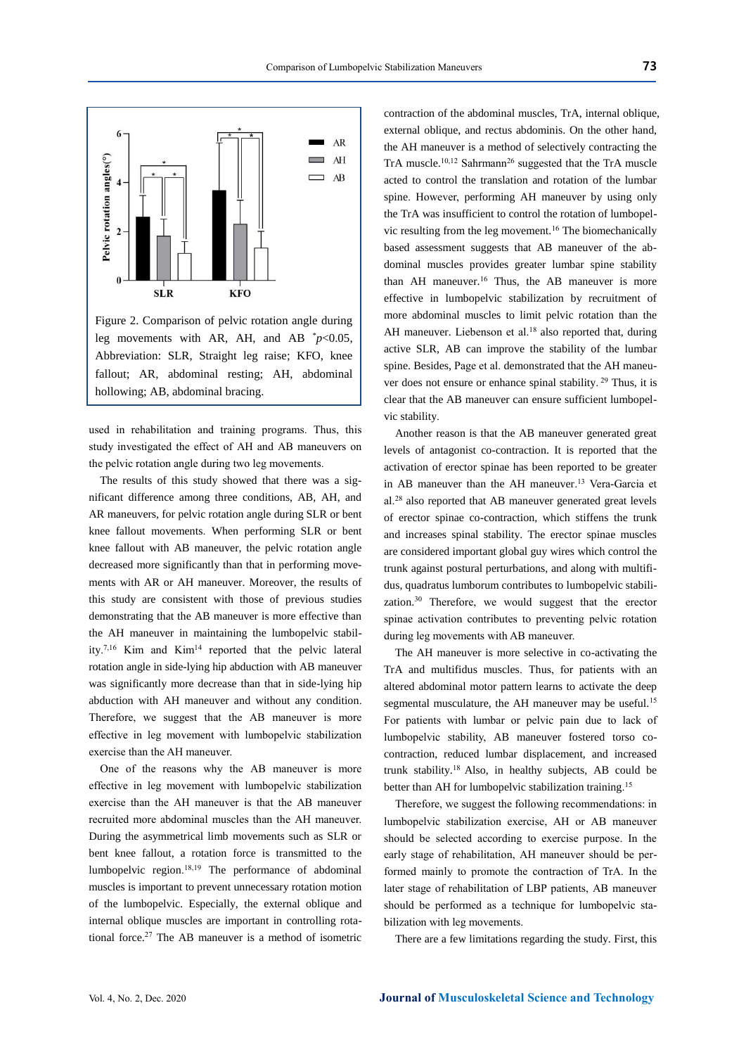

leg movements with AR, AH, and AB  $p<0.05$ , Abbreviation: SLR, Straight leg raise; KFO, knee fallout; AR, abdominal resting; AH, abdominal hollowing; AB, abdominal bracing.

used in rehabilitation and training programs. Thus, this study investigated the effect of AH and AB maneuvers on the pelvic rotation angle during two leg movements.

The results of this study showed that there was a significant difference among three conditions, AB, AH, and AR maneuvers, for pelvic rotation angle during SLR or bent knee fallout movements. When performing SLR or bent knee fallout with AB maneuver, the pelvic rotation angle decreased more significantly than that in performing movements with AR or AH maneuver. Moreover, the results of this study are consistent with those of previous studies demonstrating that the AB maneuver is more effective than the AH maneuver in maintaining the lumbopelvic stability.<sup>7,16</sup> Kim and Kim<sup>14</sup> reported that the pelvic lateral rotation angle in side-lying hip abduction with AB maneuver was significantly more decrease than that in side-lying hip abduction with AH maneuver and without any condition. Therefore, we suggest that the AB maneuver is more effective in leg movement with lumbopelvic stabilization exercise than the AH maneuver.

One of the reasons why the AB maneuver is more effective in leg movement with lumbopelvic stabilization exercise than the AH maneuver is that the AB maneuver recruited more abdominal muscles than the AH maneuver. During the asymmetrical limb movements such as SLR or bent knee fallout, a rotation force is transmitted to the lumbopelvic region. 18,19 The performance of abdominal muscles is important to prevent unnecessary rotation motion of the lumbopelvic. Especially, the external oblique and internal oblique muscles are important in controlling rotational force.<sup>27</sup> The AB maneuver is a method of isometric

contraction of the abdominal muscles, TrA, internal oblique, external oblique, and rectus abdominis. On the other hand, the AH maneuver is a method of selectively contracting the TrA muscle.<sup>10,12</sup> Sahrmann<sup>26</sup> suggested that the TrA muscle acted to control the translation and rotation of the lumbar spine. However, performing AH maneuver by using only the TrA was insufficient to control the rotation of lumbopelvic resulting from the leg movement.<sup>16</sup> The biomechanically based assessment suggests that AB maneuver of the abdominal muscles provides greater lumbar spine stability than AH maneuver.<sup>16</sup> Thus, the AB maneuver is more effective in lumbopelvic stabilization by recruitment of more abdominal muscles to limit pelvic rotation than the AH maneuver. Liebenson et al.<sup>18</sup> also reported that, during active SLR, AB can improve the stability of the lumbar spine. Besides, Page et al. demonstrated that the AH maneuver does not ensure or enhance spinal stability. <sup>29</sup> Thus, it is clear that the AB maneuver can ensure sufficient lumbopelvic stability.

Another reason is that the AB maneuver generated great levels of antagonist co-contraction. It is reported that the activation of erector spinae has been reported to be greater in AB maneuver than the AH maneuver. <sup>13</sup> Vera-Garcia et al.<sup>28</sup> also reported that AB maneuver generated great levels of erector spinae co-contraction, which stiffens the trunk and increases spinal stability. The erector spinae muscles are considered important global guy wires which control the trunk against postural perturbations, and along with multifidus, quadratus lumborum contributes to lumbopelvic stabilization.<sup>30</sup> Therefore, we would suggest that the erector spinae activation contributes to preventing pelvic rotation during leg movements with AB maneuver.

The AH maneuver is more selective in co-activating the TrA and multifidus muscles. Thus, for patients with an altered abdominal motor pattern learns to activate the deep segmental musculature, the AH maneuver may be useful.<sup>15</sup> For patients with lumbar or pelvic pain due to lack of lumbopelvic stability, AB maneuver fostered torso cocontraction, reduced lumbar displacement, and increased trunk stability.<sup>18</sup>Also, in healthy subjects, AB could be better than AH for lumbopelvic stabilization training.<sup>15</sup>

Therefore, we suggest the following recommendations: in lumbopelvic stabilization exercise, AH or AB maneuver should be selected according to exercise purpose. In the early stage of rehabilitation, AH maneuver should be performed mainly to promote the contraction of TrA. In the later stage of rehabilitation of LBP patients, AB maneuver should be performed as a technique for lumbopelvic stabilization with leg movements.

There are a few limitations regarding the study. First, this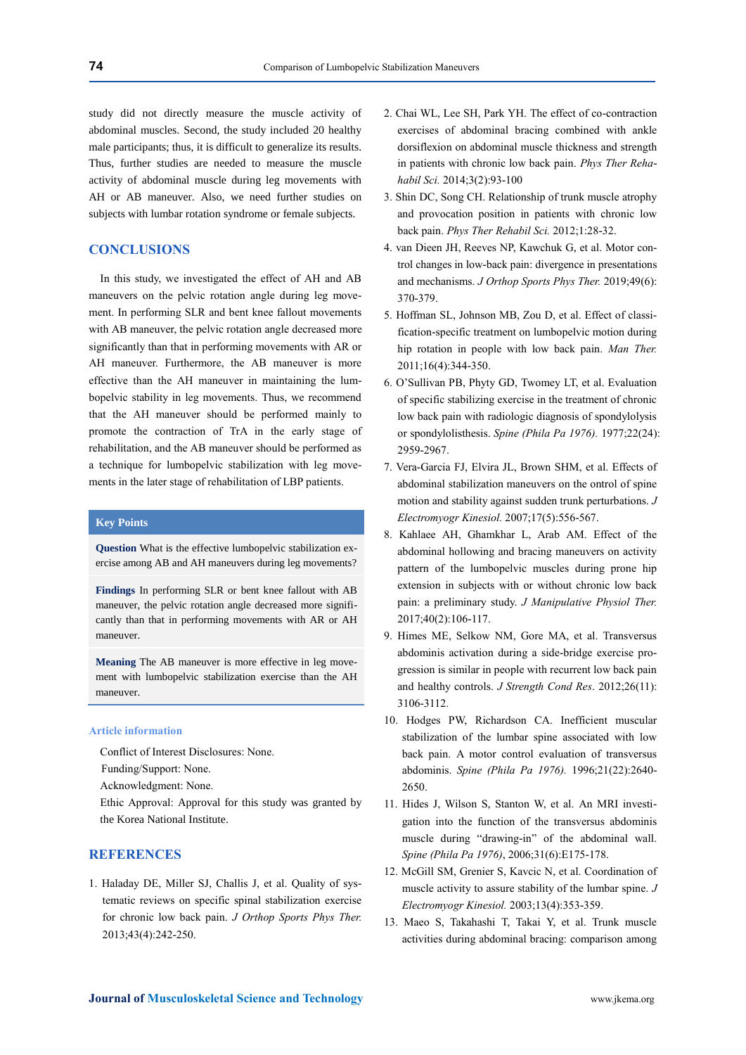study did not directly measure the muscle activity of abdominal muscles. Second, the study included 20 healthy male participants; thus, it is difficult to generalize its results. Thus, further studies are needed to measure the muscle activity of abdominal muscle during leg movements with AH or AB maneuver. Also, we need further studies on subjects with lumbar rotation syndrome or female subjects.

## **CONCLUSIONS**

In this study, we investigated the effect of AH and AB maneuvers on the pelvic rotation angle during leg movement. In performing SLR and bent knee fallout movements with AB maneuver, the pelvic rotation angle decreased more significantly than that in performing movements with AR or AH maneuver. Furthermore, the AB maneuver is more effective than the AH maneuver in maintaining the lumbopelvic stability in leg movements. Thus, we recommend that the AH maneuver should be performed mainly to promote the contraction of TrA in the early stage of rehabilitation, and the AB maneuver should be performed as a technique for lumbopelvic stabilization with leg movements in the later stage of rehabilitation of LBP patients.

## **Key Points**

**Question** What is the effective lumbopelvic stabilization exercise among AB and AH maneuvers during leg movements?

**Findings** In performing SLR or bent knee fallout with AB maneuver, the pelvic rotation angle decreased more significantly than that in performing movements with AR or AH maneuver.

**Meaning** The AB maneuver is more effective in leg movement with lumbopelvic stabilization exercise than the AH maneuver.

#### **Article information**

Conflict of Interest Disclosures: None.

Funding/Support: None.

Acknowledgment: None.

Ethic Approval: Approval for this study was granted by the Korea National Institute.

## **REFERENCES**

1. Haladay DE, Miller SJ, Challis J, et al. Quality of systematic reviews on specific spinal stabilization exercise for chronic low back pain. *J Orthop Sports Phys Ther.* 2013;43(4):242-250.

- 2. Chai WL, Lee SH, Park YH. The effect of co-contraction exercises of abdominal bracing combined with ankle dorsiflexion on abdominal muscle thickness and strength in patients with chronic low back pain. *Phys Ther Rehahabil Sci.* 2014;3(2):93-100
- 3. Shin DC, Song CH. Relationship of trunk muscle atrophy and provocation position in patients with chronic low back pain. *Phys Ther Rehabil Sci.* 2012;1:28-32.
- 4. van Dieen JH, Reeves NP, Kawchuk G, et al. Motor control changes in low-back pain: divergence in presentations and mechanisms. *J Orthop Sports Phys Ther.* 2019;49(6): 370-379.
- 5. Hoffman SL, Johnson MB, Zou D, et al. Effect of classification-specific treatment on lumbopelvic motion during hip rotation in people with low back pain. *Man Ther.* 2011;16(4):344-350.
- 6. O'Sullivan PB, Phyty GD, Twomey LT, et al. Evaluation of specific stabilizing exercise in the treatment of chronic low back pain with radiologic diagnosis of spondylolysis or spondylolisthesis. *Spine (Phila Pa 1976).* 1977;22(24): 2959-2967.
- 7. Vera-Garcia FJ, Elvira JL, Brown SHM, et al. Effects of abdominal stabilization maneuvers on the ontrol of spine motion and stability against sudden trunk perturbations. *J Electromyogr Kinesiol.* 2007;17(5):556-567.
- 8. Kahlaee AH, Ghamkhar L, Arab AM. Effect of the abdominal hollowing and bracing maneuvers on activity pattern of the lumbopelvic muscles during prone hip extension in subjects with or without chronic low back pain: a preliminary study. *J Manipulative Physiol Ther.* 2017;40(2):106-117.
- 9. Himes ME, Selkow NM, Gore MA, et al. Transversus abdominis activation during a side-bridge exercise progression is similar in people with recurrent low back pain and healthy controls. *J Strength Cond Res*. 2012;26(11): 3106-3112.
- 10. Hodges PW, Richardson CA. Inefficient muscular stabilization of the lumbar spine associated with low back pain. A motor control evaluation of transversus abdominis. *Spine (Phila Pa 1976).* 1996;21(22):2640- 2650.
- 11. Hides J, Wilson S, Stanton W, et al. An MRI investigation into the function of the transversus abdominis muscle during "drawing-in" of the abdominal wall. *Spine (Phila Pa 1976)*, 2006;31(6):E175-178.
- 12. McGill SM, Grenier S, Kavcic N, et al. Coordination of muscle activity to assure stability of the lumbar spine. *J Electromyogr Kinesiol.* 2003;13(4):353-359.
- 13. Maeo S, Takahashi T, Takai Y, et al. Trunk muscle activities during abdominal bracing: comparison among